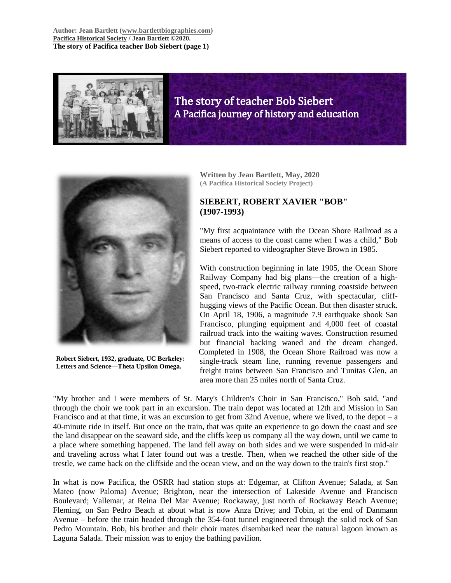**Author: Jean Bartlett [\(www.bartlettbiographies.com\)](http://www.bartlettbiographies.com/) [Pacifica Historical Society](http://pacificahistory.org/) / Jean Bartlett ©2020. The story of Pacifica teacher Bob Siebert (page 1)**



The story of teacher Bob Siebert A Pacifica journey of history and education



**Robert Siebert, 1932, graduate, UC Berkeley: Letters and Science—Theta Upsilon Omega.**

**Written by Jean Bartlett, May, 2020 (A Pacifica Historical Society Project)**

# **SIEBERT, ROBERT XAVIER "BOB" (1907-1993)**

"My first acquaintance with the Ocean Shore Railroad as a means of access to the coast came when I was a child," Bob Siebert reported to videographer Steve Brown in 1985.

With construction beginning in late 1905, the Ocean Shore Railway Company had big plans—the creation of a highspeed, two-track electric railway running coastside between San Francisco and Santa Cruz, with spectacular, cliffhugging views of the Pacific Ocean. But then disaster struck. On April 18, 1906, a magnitude 7.9 earthquake shook San Francisco, plunging equipment and 4,000 feet of coastal railroad track into the waiting waves. Construction resumed but financial backing waned and the dream changed. Completed in 1908, the Ocean Shore Railroad was now a single-track steam line, running revenue passengers and freight trains between San Francisco and Tunitas Glen, an area more than 25 miles north of Santa Cruz.

"My brother and I were members of St. Mary's Children's Choir in San Francisco," Bob said, "and through the choir we took part in an excursion. The train depot was located at 12th and Mission in San Francisco and at that time, it was an excursion to get from 32nd Avenue, where we lived, to the depot – a 40-minute ride in itself. But once on the train, that was quite an experience to go down the coast and see the land disappear on the seaward side, and the cliffs keep us company all the way down, until we came to a place where something happened. The land fell away on both sides and we were suspended in mid-air and traveling across what I later found out was a trestle. Then, when we reached the other side of the trestle, we came back on the cliffside and the ocean view, and on the way down to the train's first stop."

In what is now Pacifica, the OSRR had station stops at: Edgemar, at Clifton Avenue; Salada, at San Mateo (now Paloma) Avenue; Brighton, near the intersection of Lakeside Avenue and Francisco Boulevard; Vallemar, at Reina Del Mar Avenue; Rockaway, just north of Rockaway Beach Avenue; Fleming, on San Pedro Beach at about what is now Anza Drive; and Tobin, at the end of Danmann Avenue – before the train headed through the 354-foot tunnel engineered through the solid rock of San Pedro Mountain. Bob, his brother and their choir mates disembarked near the natural lagoon known as Laguna Salada. Their mission was to enjoy the bathing pavilion.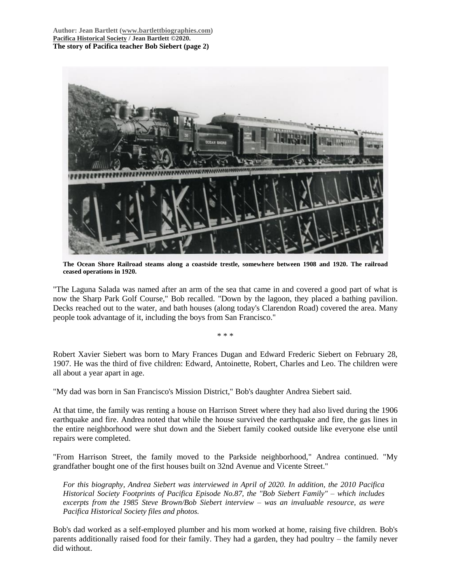**Author: Jean Bartlett [\(www.bartlettbiographies.com\)](http://www.bartlettbiographies.com/) [Pacifica Historical Society](http://pacificahistory.org/) / Jean Bartlett ©2020. The story of Pacifica teacher Bob Siebert (page 2)**



**The Ocean Shore Railroad steams along a coastside trestle, somewhere between 1908 and 1920. The railroad ceased operations in 1920.**

"The Laguna Salada was named after an arm of the sea that came in and covered a good part of what is now the Sharp Park Golf Course," Bob recalled. "Down by the lagoon, they placed a bathing pavilion. Decks reached out to the water, and bath houses (along today's Clarendon Road) covered the area. Many people took advantage of it, including the boys from San Francisco."

Robert Xavier Siebert was born to Mary Frances Dugan and Edward Frederic Siebert on February 28, 1907. He was the third of five children: Edward, Antoinette, Robert, Charles and Leo. The children were all about a year apart in age.

\* \* \*

"My dad was born in San Francisco's Mission District," Bob's daughter Andrea Siebert said.

At that time, the family was renting a house on Harrison Street where they had also lived during the 1906 earthquake and fire. Andrea noted that while the house survived the earthquake and fire, the gas lines in the entire neighborhood were shut down and the Siebert family cooked outside like everyone else until repairs were completed.

"From Harrison Street, the family moved to the Parkside neighborhood," Andrea continued. "My grandfather bought one of the first houses built on 32nd Avenue and Vicente Street."

*For this biography, Andrea Siebert was interviewed in April of 2020. In addition, the 2010 Pacifica Historical Society Footprints of Pacifica Episode No.87, the "Bob Siebert Family" – which includes excerpts from the 1985 Steve Brown/Bob Siebert interview – was an invaluable resource, as were Pacifica Historical Society files and photos.*

Bob's dad worked as a self-employed plumber and his mom worked at home, raising five children. Bob's parents additionally raised food for their family. They had a garden, they had poultry – the family never did without.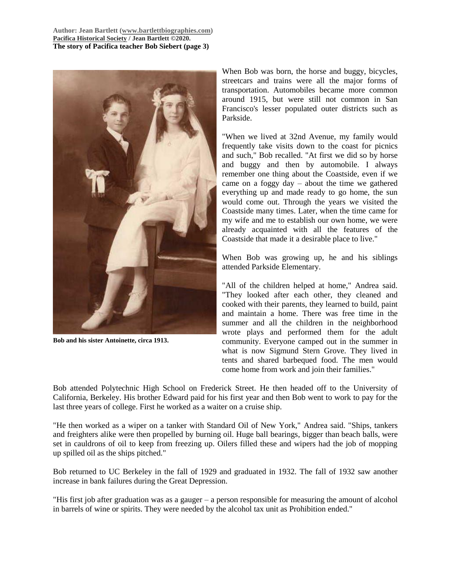**Author: Jean Bartlett [\(www.bartlettbiographies.com\)](http://www.bartlettbiographies.com/) [Pacifica Historical Society](http://pacificahistory.org/) / Jean Bartlett ©2020. The story of Pacifica teacher Bob Siebert (page 3)**



**Bob and his sister Antoinette, circa 1913.**

When Bob was born, the horse and buggy, bicycles, streetcars and trains were all the major forms of transportation. Automobiles became more common around 1915, but were still not common in San Francisco's lesser populated outer districts such as Parkside.

"When we lived at 32nd Avenue, my family would frequently take visits down to the coast for picnics and such," Bob recalled. "At first we did so by horse and buggy and then by automobile. I always remember one thing about the Coastside, even if we came on a foggy day – about the time we gathered everything up and made ready to go home, the sun would come out. Through the years we visited the Coastside many times. Later, when the time came for my wife and me to establish our own home, we were already acquainted with all the features of the Coastside that made it a desirable place to live."

When Bob was growing up, he and his siblings attended Parkside Elementary.

"All of the children helped at home," Andrea said. "They looked after each other, they cleaned and cooked with their parents, they learned to build, paint and maintain a home. There was free time in the summer and all the children in the neighborhood wrote plays and performed them for the adult community. Everyone camped out in the summer in what is now Sigmund Stern Grove. They lived in tents and shared barbequed food. The men would come home from work and join their families."

Bob attended Polytechnic High School on Frederick Street. He then headed off to the University of California, Berkeley. His brother Edward paid for his first year and then Bob went to work to pay for the last three years of college. First he worked as a waiter on a cruise ship.

"He then worked as a wiper on a tanker with Standard Oil of New York," Andrea said. "Ships, tankers and freighters alike were then propelled by burning oil. Huge ball bearings, bigger than beach balls, were set in cauldrons of oil to keep from freezing up. Oilers filled these and wipers had the job of mopping up spilled oil as the ships pitched."

Bob returned to UC Berkeley in the fall of 1929 and graduated in 1932. The fall of 1932 saw another increase in bank failures during the Great Depression.

"His first job after graduation was as a gauger – a person responsible for measuring the amount of alcohol in barrels of wine or spirits. They were needed by the alcohol tax unit as Prohibition ended."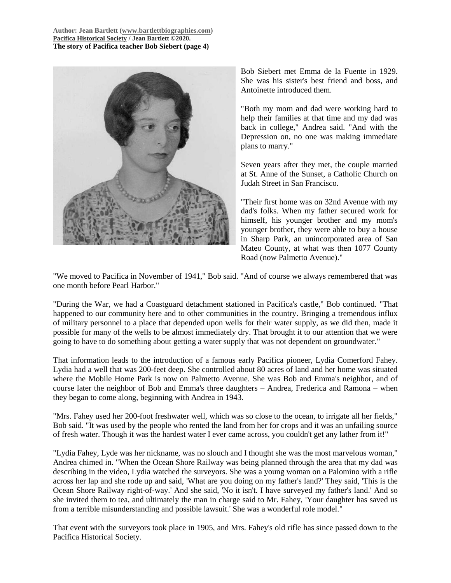

Bob Siebert met Emma de la Fuente in 1929. She was his sister's best friend and boss, and Antoinette introduced them.

"Both my mom and dad were working hard to help their families at that time and my dad was back in college," Andrea said. "And with the Depression on, no one was making immediate plans to marry."

Seven years after they met, the couple married at St. Anne of the Sunset, a Catholic Church on Judah Street in San Francisco.

"Their first home was on 32nd Avenue with my dad's folks. When my father secured work for himself, his younger brother and my mom's younger brother, they were able to buy a house in Sharp Park, an unincorporated area of San Mateo County, at what was then 1077 County Road (now Palmetto Avenue)."

"We moved to Pacifica in November of 1941," Bob said. "And of course we always remembered that was one month before Pearl Harbor."

"During the War, we had a Coastguard detachment stationed in Pacifica's castle," Bob continued. "That happened to our community here and to other communities in the country. Bringing a tremendous influx of military personnel to a place that depended upon wells for their water supply, as we did then, made it possible for many of the wells to be almost immediately dry. That brought it to our attention that we were going to have to do something about getting a water supply that was not dependent on groundwater."

That information leads to the introduction of a famous early Pacifica pioneer, Lydia Comerford Fahey. Lydia had a well that was 200-feet deep. She controlled about 80 acres of land and her home was situated where the Mobile Home Park is now on Palmetto Avenue. She was Bob and Emma's neighbor, and of course later the neighbor of Bob and Emma's three daughters – Andrea, Frederica and Ramona – when they began to come along, beginning with Andrea in 1943.

"Mrs. Fahey used her 200-foot freshwater well, which was so close to the ocean, to irrigate all her fields," Bob said. "It was used by the people who rented the land from her for crops and it was an unfailing source of fresh water. Though it was the hardest water I ever came across, you couldn't get any lather from it!"

"Lydia Fahey, Lyde was her nickname, was no slouch and I thought she was the most marvelous woman," Andrea chimed in. "When the Ocean Shore Railway was being planned through the area that my dad was describing in the video, Lydia watched the surveyors. She was a young woman on a Palomino with a rifle across her lap and she rode up and said, 'What are you doing on my father's land?' They said, 'This is the Ocean Shore Railway right-of-way.' And she said, 'No it isn't. I have surveyed my father's land.' And so she invited them to tea, and ultimately the man in charge said to Mr. Fahey, 'Your daughter has saved us from a terrible misunderstanding and possible lawsuit.' She was a wonderful role model."

That event with the surveyors took place in 1905, and Mrs. Fahey's old rifle has since passed down to the Pacifica Historical Society.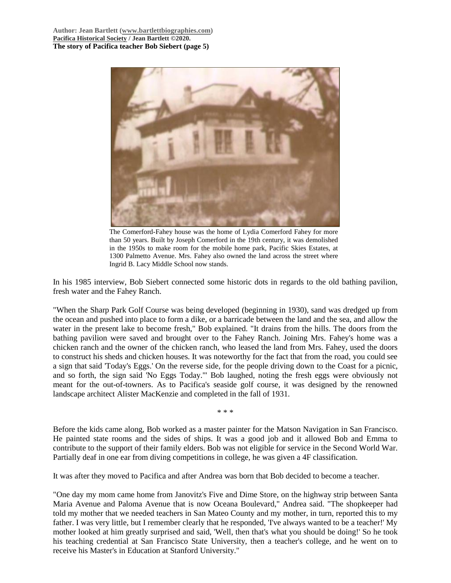

The Comerford-Fahey house was the home of Lydia Comerford Fahey for more than 50 years. Built by Joseph Comerford in the 19th century, it was demolished in the 1950s to make room for the mobile home park, Pacific Skies Estates, at 1300 Palmetto Avenue. Mrs. Fahey also owned the land across the street where Ingrid B. Lacy Middle School now stands.

In his 1985 interview, Bob Siebert connected some historic dots in regards to the old bathing pavilion, fresh water and the Fahey Ranch.

"When the Sharp Park Golf Course was being developed (beginning in 1930), sand was dredged up from the ocean and pushed into place to form a dike, or a barricade between the land and the sea, and allow the water in the present lake to become fresh," Bob explained. "It drains from the hills. The doors from the bathing pavilion were saved and brought over to the Fahey Ranch. Joining Mrs. Fahey's home was a chicken ranch and the owner of the chicken ranch, who leased the land from Mrs. Fahey, used the doors to construct his sheds and chicken houses. It was noteworthy for the fact that from the road, you could see a sign that said 'Today's Eggs.' On the reverse side, for the people driving down to the Coast for a picnic, and so forth, the sign said 'No Eggs Today.'" Bob laughed, noting the fresh eggs were obviously not meant for the out-of-towners. As to Pacifica's seaside golf course, it was designed by the renowned landscape architect Alister MacKenzie and completed in the fall of 1931.

\* \* \*

Before the kids came along, Bob worked as a master painter for the Matson Navigation in San Francisco. He painted state rooms and the sides of ships. It was a good job and it allowed Bob and Emma to contribute to the support of their family elders. Bob was not eligible for service in the Second World War. Partially deaf in one ear from diving competitions in college, he was given a 4F classification.

It was after they moved to Pacifica and after Andrea was born that Bob decided to become a teacher.

"One day my mom came home from Janovitz's Five and Dime Store, on the highway strip between Santa Maria Avenue and Paloma Avenue that is now Oceana Boulevard," Andrea said. "The shopkeeper had told my mother that we needed teachers in San Mateo County and my mother, in turn, reported this to my father. I was very little, but I remember clearly that he responded, 'I've always wanted to be a teacher!' My mother looked at him greatly surprised and said, 'Well, then that's what you should be doing!' So he took his teaching credential at San Francisco State University, then a teacher's college, and he went on to receive his Master's in Education at Stanford University."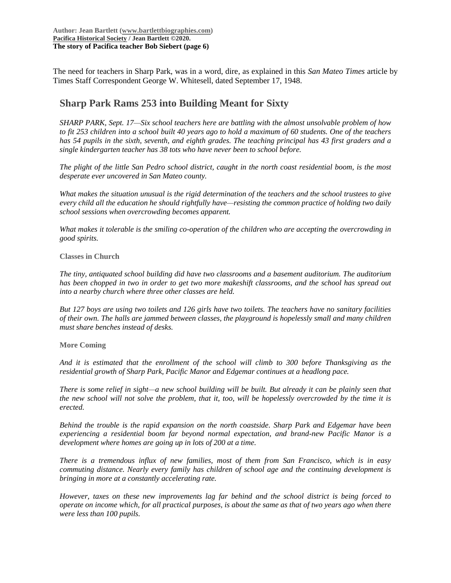The need for teachers in Sharp Park, was in a word, dire, as explained in this *San Mateo Times* article by Times Staff Correspondent George W. Whitesell, dated September 17, 1948.

# **Sharp Park Rams 253 into Building Meant for Sixty**

*SHARP PARK, Sept. 17—Six school teachers here are battling with the almost unsolvable problem of how to fit 253 children into a school built 40 years ago to hold a maximum of 60 students. One of the teachers has 54 pupils in the sixth, seventh, and eighth grades. The teaching principal has 43 first graders and a single kindergarten teacher has 38 tots who have never been to school before.*

*The plight of the little San Pedro school district, caught in the north coast residential boom, is the most desperate ever uncovered in San Mateo county.*

*What makes the situation unusual is the rigid determination of the teachers and the school trustees to give every child all the education he should rightfully have—resisting the common practice of holding two daily school sessions when overcrowding becomes apparent.*

*What makes it tolerable is the smiling co-operation of the children who are accepting the overcrowding in good spirits.*

**Classes in Church**

*The tiny, antiquated school building did have two classrooms and a basement auditorium. The auditorium has been chopped in two in order to get two more makeshift classrooms, and the school has spread out into a nearby church where three other classes are held.*

*But 127 boys are using two toilets and 126 girls have two toilets. The teachers have no sanitary facilities of their own. The halls are jammed between classes, the playground is hopelessly small and many children must share benches instead of desks.*

**More Coming**

*And it is estimated that the enrollment of the school will climb to 300 before Thanksgiving as the residential growth of Sharp Park, Pacific Manor and Edgemar continues at a headlong pace.*

*There is some relief in sight—a new school building will be built. But already it can be plainly seen that the new school will not solve the problem, that it, too, will be hopelessly overcrowded by the time it is erected.*

*Behind the trouble is the rapid expansion on the north coastside. Sharp Park and Edgemar have been experiencing a residential boom far beyond normal expectation, and brand-new Pacific Manor is a development where homes are going up in lots of 200 at a time.*

*There is a tremendous influx of new families, most of them from San Francisco, which is in easy commuting distance. Nearly every family has children of school age and the continuing development is bringing in more at a constantly accelerating rate.*

*However, taxes on these new improvements lag far behind and the school district is being forced to operate on income which, for all practical purposes, is about the same as that of two years ago when there were less than 100 pupils.*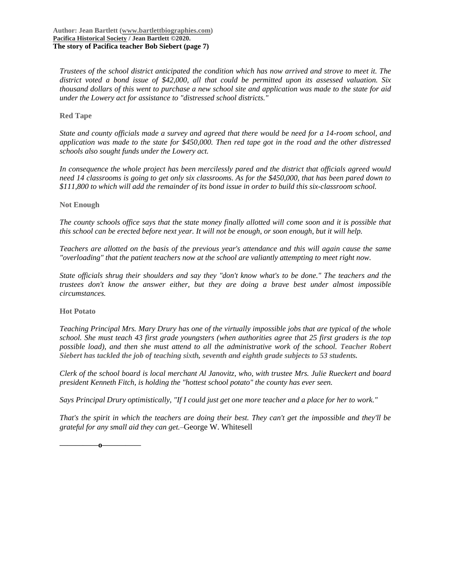*Trustees of the school district anticipated the condition which has now arrived and strove to meet it. The district voted a bond issue of \$42,000, all that could be permitted upon its assessed valuation. Six thousand dollars of this went to purchase a new school site and application was made to the state for aid under the Lowery act for assistance to "distressed school districts."*

# **Red Tape**

*State and county officials made a survey and agreed that there would be need for a 14-room school, and application was made to the state for \$450,000. Then red tape got in the road and the other distressed schools also sought funds under the Lowery act.*

*In consequence the whole project has been mercilessly pared and the district that officials agreed would need 14 classrooms is going to get only six classrooms. As for the \$450,000, that has been pared down to \$111,800 to which will add the remainder of its bond issue in order to build this six-classroom school.*

## **Not Enough**

*The county schools office says that the state money finally allotted will come soon and it is possible that this school can be erected before next year. It will not be enough, or soon enough, but it will help.*

*Teachers are allotted on the basis of the previous year's attendance and this will again cause the same "overloading" that the patient teachers now at the school are valiantly attempting to meet right now.*

*State officials shrug their shoulders and say they "don't know what's to be done." The teachers and the trustees don't know the answer either, but they are doing a brave best under almost impossible circumstances.*

## **Hot Potato**

*Teaching Principal Mrs. Mary Drury has one of the virtually impossible jobs that are typical of the whole school. She must teach 43 first grade youngsters (when authorities agree that 25 first graders is the top possible load), and then she must attend to all the administrative work of the school. Teacher Robert Siebert has tackled the job of teaching sixth, seventh and eighth grade subjects to 53 students.*

*Clerk of the school board is local merchant Al Janovitz, who, with trustee Mrs. Julie Rueckert and board president Kenneth Fitch, is holding the "hottest school potato" the county has ever seen.*

*Says Principal Drury optimistically, "If I could just get one more teacher and a place for her to work."*

*That's the spirit in which the teachers are doing their best. They can't get the impossible and they'll be grateful for any small aid they can get.–*George W. Whitesell

**—————o—————**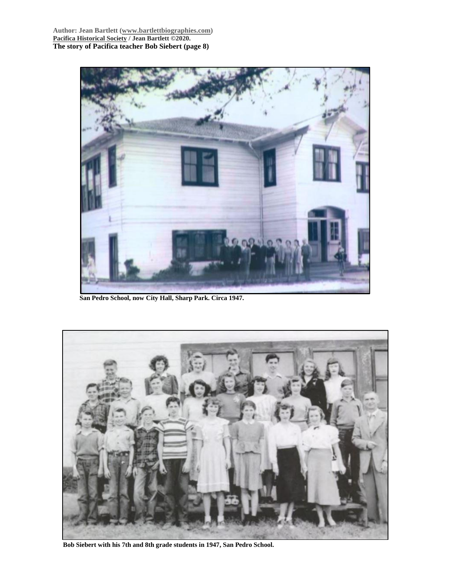**Author: Jean Bartlett [\(www.bartlettbiographies.com\)](http://www.bartlettbiographies.com/) [Pacifica Historical Society](http://pacificahistory.org/) / Jean Bartlett ©2020. The story of Pacifica teacher Bob Siebert (page 8)**



**San Pedro School, now City Hall, Sharp Park. Circa 1947.**



**Bob Siebert with his 7th and 8th grade students in 1947, San Pedro School.**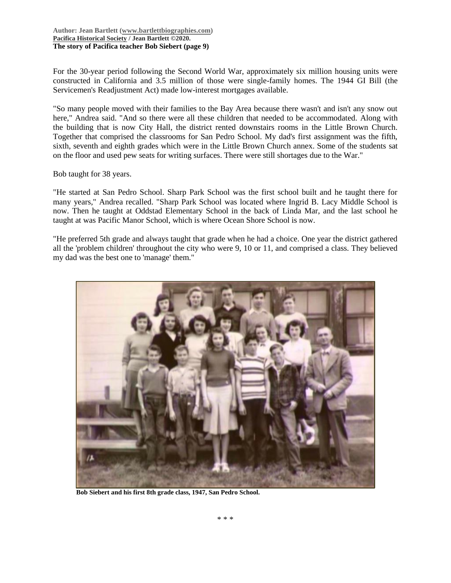#### **Author: Jean Bartlett [\(www.bartlettbiographies.com\)](http://www.bartlettbiographies.com/) [Pacifica Historical Society](http://pacificahistory.org/) / Jean Bartlett ©2020. The story of Pacifica teacher Bob Siebert (page 9)**

For the 30-year period following the Second World War, approximately six million housing units were constructed in California and 3.5 million of those were single-family homes. The 1944 GI Bill (the Servicemen's Readjustment Act) made low-interest mortgages available.

"So many people moved with their families to the Bay Area because there wasn't and isn't any snow out here," Andrea said. "And so there were all these children that needed to be accommodated. Along with the building that is now City Hall, the district rented downstairs rooms in the Little Brown Church. Together that comprised the classrooms for San Pedro School. My dad's first assignment was the fifth, sixth, seventh and eighth grades which were in the Little Brown Church annex. Some of the students sat on the floor and used pew seats for writing surfaces. There were still shortages due to the War."

Bob taught for 38 years.

"He started at San Pedro School. Sharp Park School was the first school built and he taught there for many years," Andrea recalled. "Sharp Park School was located where Ingrid B. Lacy Middle School is now. Then he taught at Oddstad Elementary School in the back of Linda Mar, and the last school he taught at was Pacific Manor School, which is where Ocean Shore School is now.

"He preferred 5th grade and always taught that grade when he had a choice. One year the district gathered all the 'problem children' throughout the city who were 9, 10 or 11, and comprised a class. They believed my dad was the best one to 'manage' them."



**Bob Siebert and his first 8th grade class, 1947, San Pedro School.**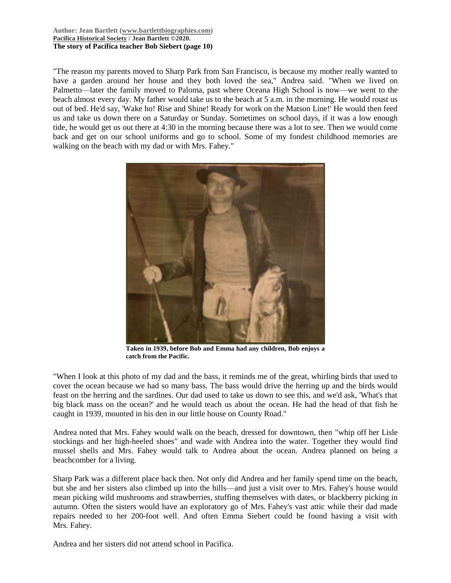#### **Author: Jean Bartlett [\(www.bartlettbiographies.com\)](http://www.bartlettbiographies.com/) [Pacifica Historical Society](http://pacificahistory.org/) / Jean Bartlett ©2020. The story of Pacifica teacher Bob Siebert (page 10)**

"The reason my parents moved to Sharp Park from San Francisco, is because my mother really wanted to have a garden around her house and they both loved the sea," Andrea said. "When we lived on Palmetto—later the family moved to Paloma, past where Oceana High School is now—we went to the beach almost every day. My father would take us to the beach at 5 a.m. in the morning. He would roust us out of bed. He'd say, 'Wake ho! Rise and Shine! Ready for work on the Matson Line!' He would then feed us and take us down there on a Saturday or Sunday. Sometimes on school days, if it was a low enough tide, he would get us out there at 4:30 in the morning because there was a lot to see. Then we would come back and get on our school uniforms and go to school. Some of my fondest childhood memories are walking on the beach with my dad or with Mrs. Fahey."



**Taken in 1939, before Bob and Emma had any children, Bob enjoys a catch from the Pacific.**

"When I look at this photo of my dad and the bass, it reminds me of the great, whirling birds that used to cover the ocean because we had so many bass. The bass would drive the herring up and the birds would feast on the herring and the sardines. Our dad used to take us down to see this, and we'd ask, 'What's that big black mass on the ocean?' and he would teach us about the ocean. He had the head of that fish he caught in 1939, mounted in his den in our little house on County Road."

Andrea noted that Mrs. Fahey would walk on the beach, dressed for downtown, then "whip off her Lisle stockings and her high-heeled shoes" and wade with Andrea into the water. Together they would find mussel shells and Mrs. Fahey would talk to Andrea about the ocean. Andrea planned on being a beachcomber for a living.

Sharp Park was a different place back then. Not only did Andrea and her family spend time on the beach, but she and her sisters also climbed up into the hills—and just a visit over to Mrs. Fahey's house would mean picking wild mushrooms and strawberries, stuffing themselves with dates, or blackberry picking in autumn. Often the sisters would have an exploratory go of Mrs. Fahey's vast attic while their dad made repairs needed to her 200-foot well. And often Emma Siebert could be found having a visit with Mrs. Fahey.

Andrea and her sisters did not attend school in Pacifica.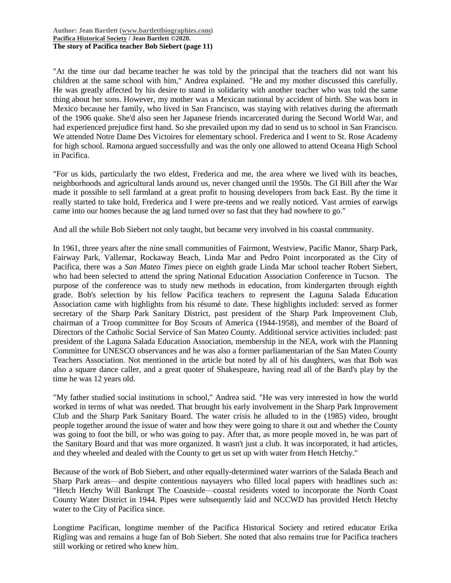"At the time our dad became teacher he was told by the principal that the teachers did not want his children at the same school with him," Andrea explained. "He and my mother discussed this carefully. He was greatly affected by his desire to stand in solidarity with another teacher who was told the same thing about her sons. However, my mother was a Mexican national by accident of birth. She was born in Mexico because her family, who lived in San Francisco, was staying with relatives during the aftermath of the 1906 quake. She'd also seen her Japanese friends incarcerated during the Second World War, and had experienced prejudice first hand. So she prevailed upon my dad to send us to school in San Francisco. We attended Notre Dame Des Victoires for elementary school. Frederica and I went to St. Rose Academy for high school. Ramona argued successfully and was the only one allowed to attend Oceana High School in Pacifica.

"For us kids, particularly the two eldest, Frederica and me, the area where we lived with its beaches, neighborhoods and agricultural lands around us, never changed until the 1950s. The GI Bill after the War made it possible to sell farmland at a great profit to housing developers from back East. By the time it really started to take hold, Frederica and I were pre-teens and we really noticed. Vast armies of earwigs came into our homes because the ag land turned over so fast that they had nowhere to go."

And all the while Bob Siebert not only taught, but became very involved in his coastal community.

In 1961, three years after the nine small communities of Fairmont, Westview, Pacific Manor, Sharp Park, Fairway Park, Vallemar, Rockaway Beach, Linda Mar and Pedro Point incorporated as the City of Pacifica, there was a *San Mateo Times* piece on eighth grade Linda Mar school teacher Robert Siebert, who had been selected to attend the spring National Education Association Conference in Tucson. The purpose of the conference was to study new methods in education, from kindergarten through eighth grade. Bob's selection by his fellow Pacifica teachers to represent the Laguna Salada Education Association came with highlights from his résumé to date. These highlights included: served as former secretary of the Sharp Park Sanitary District, past president of the Sharp Park Improvement Club, chairman of a Troop committee for Boy Scouts of America (1944-1958), and member of the Board of Directors of the Catholic Social Service of San Mateo County. Additional service activities included: past president of the Laguna Salada Education Association, membership in the NEA, work with the Planning Committee for UNESCO observances and he was also a former parliamentarian of the San Mateo County Teachers Association. Not mentioned in the article but noted by all of his daughters, was that Bob was also a square dance caller, and a great quoter of Shakespeare, having read all of the Bard's play by the time he was 12 years old.

"My father studied social institutions in school," Andrea said. "He was very interested in how the world worked in terms of what was needed. That brought his early involvement in the Sharp Park Improvement Club and the Sharp Park Sanitary Board. The water crisis he alluded to in the (1985) video, brought people together around the issue of water and how they were going to share it out and whether the County was going to foot the bill, or who was going to pay. After that, as more people moved in, he was part of the Sanitary Board and that was more organized. It wasn't just a club. It was incorporated, it had articles, and they wheeled and dealed with the County to get us set up with water from Hetch Hetchy."

Because of the work of Bob Siebert, and other equally-determined water warriors of the Salada Beach and Sharp Park areas—and despite contentious naysayers who filled local papers with headlines such as: "Hetch Hetchy Will Bankrupt The Coastside—coastal residents voted to incorporate the North Coast County Water District in 1944. Pipes were subsequently laid and NCCWD has provided Hetch Hetchy water to the City of Pacifica since.

Longtime Pacifican, longtime member of the Pacifica Historical Society and retired educator Erika Rigling was and remains a huge fan of Bob Siebert. She noted that also remains true for Pacifica teachers still working or retired who knew him.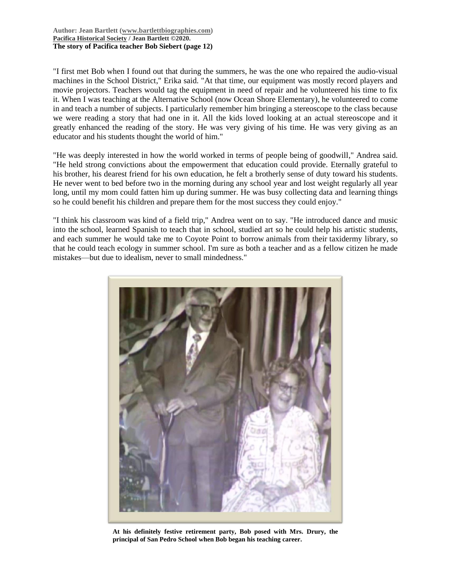#### **Author: Jean Bartlett [\(www.bartlettbiographies.com\)](http://www.bartlettbiographies.com/) [Pacifica Historical Society](http://pacificahistory.org/) / Jean Bartlett ©2020. The story of Pacifica teacher Bob Siebert (page 12)**

"I first met Bob when I found out that during the summers, he was the one who repaired the audio-visual machines in the School District," Erika said. "At that time, our equipment was mostly record players and movie projectors. Teachers would tag the equipment in need of repair and he volunteered his time to fix it. When I was teaching at the Alternative School (now Ocean Shore Elementary), he volunteered to come in and teach a number of subjects. I particularly remember him bringing a stereoscope to the class because we were reading a story that had one in it. All the kids loved looking at an actual stereoscope and it greatly enhanced the reading of the story. He was very giving of his time. He was very giving as an educator and his students thought the world of him."

"He was deeply interested in how the world worked in terms of people being of goodwill," Andrea said. "He held strong convictions about the empowerment that education could provide. Eternally grateful to his brother, his dearest friend for his own education, he felt a brotherly sense of duty toward his students. He never went to bed before two in the morning during any school year and lost weight regularly all year long, until my mom could fatten him up during summer. He was busy collecting data and learning things so he could benefit his children and prepare them for the most success they could enjoy."

"I think his classroom was kind of a field trip," Andrea went on to say. "He introduced dance and music into the school, learned Spanish to teach that in school, studied art so he could help his artistic students, and each summer he would take me to Coyote Point to borrow animals from their taxidermy library, so that he could teach ecology in summer school. I'm sure as both a teacher and as a fellow citizen he made mistakes—but due to idealism, never to small mindedness."



**At his definitely festive retirement party, Bob posed with Mrs. Drury, the principal of San Pedro School when Bob began his teaching career.**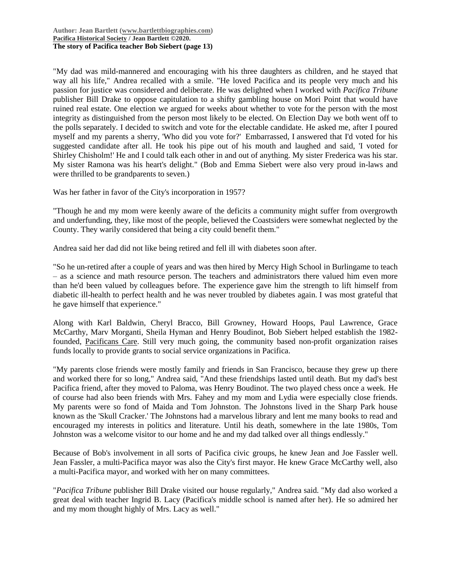"My dad was mild-mannered and encouraging with his three daughters as children, and he stayed that way all his life," Andrea recalled with a smile. "He loved Pacifica and its people very much and his passion for justice was considered and deliberate. He was delighted when I worked with *Pacifica Tribune* publisher Bill Drake to oppose capitulation to a shifty gambling house on Mori Point that would have ruined real estate. One election we argued for weeks about whether to vote for the person with the most integrity as distinguished from the person most likely to be elected. On Election Day we both went off to the polls separately. I decided to switch and vote for the electable candidate. He asked me, after I poured myself and my parents a sherry, 'Who did you vote for?' Embarrassed, I answered that I'd voted for his suggested candidate after all. He took his pipe out of his mouth and laughed and said, 'I voted for Shirley Chisholm!' He and I could talk each other in and out of anything. My sister Frederica was his star. My sister Ramona was his heart's delight." (Bob and Emma Siebert were also very proud in-laws and were thrilled to be grandparents to seven.)

Was her father in favor of the City's incorporation in 1957?

"Though he and my mom were keenly aware of the deficits a community might suffer from overgrowth and underfunding, they, like most of the people, believed the Coastsiders were somewhat neglected by the County. They warily considered that being a city could benefit them."

Andrea said her dad did not like being retired and fell ill with diabetes soon after.

"So he un-retired after a couple of years and was then hired by Mercy High School in Burlingame to teach – as a science and math resource person. The teachers and administrators there valued him even more than he'd been valued by colleagues before. The experience gave him the strength to lift himself from diabetic ill-health to perfect health and he was never troubled by diabetes again. I was most grateful that he gave himself that experience."

Along with Karl Baldwin, Cheryl Bracco, Bill Growney, Howard Hoops, Paul Lawrence, Grace McCarthy, Marv Morganti, Sheila Hyman and Henry Boudinot, Bob Siebert helped establish the 1982 founded, [Pacificans Care.](https://www.pacificans-care.com/) Still very much going, the community based non-profit organization raises funds locally to provide grants to social service organizations in Pacifica.

"My parents close friends were mostly family and friends in San Francisco, because they grew up there and worked there for so long," Andrea said, "And these friendships lasted until death. But my dad's best Pacifica friend, after they moved to Paloma, was Henry Boudinot. The two played chess once a week. He of course had also been friends with Mrs. Fahey and my mom and Lydia were especially close friends. My parents were so fond of Maida and Tom Johnston. The Johnstons lived in the Sharp Park house known as the 'Skull Cracker.' The Johnstons had a marvelous library and lent me many books to read and encouraged my interests in politics and literature. Until his death, somewhere in the late 1980s, Tom Johnston was a welcome visitor to our home and he and my dad talked over all things endlessly."

Because of Bob's involvement in all sorts of Pacifica civic groups, he knew Jean and Joe Fassler well. Jean Fassler, a multi-Pacifica mayor was also the City's first mayor. He knew Grace McCarthy well, also a multi-Pacifica mayor, and worked with her on many committees.

"*Pacifica Tribune* publisher Bill Drake visited our house regularly," Andrea said. "My dad also worked a great deal with teacher Ingrid B. Lacy (Pacifica's middle school is named after her). He so admired her and my mom thought highly of Mrs. Lacy as well."